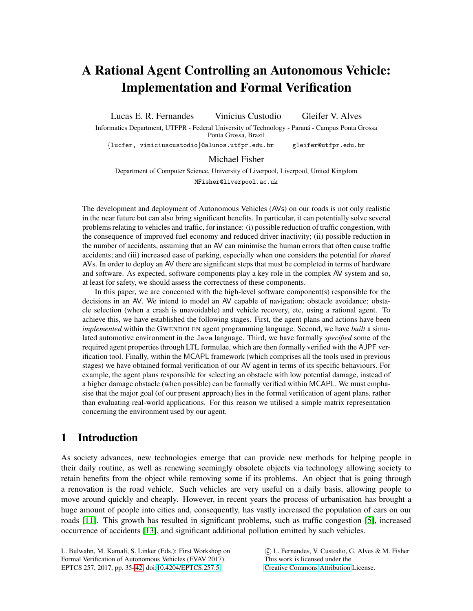# A Rational Agent Controlling an Autonomous Vehicle: Implementation and Formal Verification

Lucas E. R. Fernandes Vinicius Custodio Gleifer V. Alves Informatics Department, UTFPR - Federal University of Technology - Paraná - Campus Ponta Grossa Ponta Grossa, Brazil {lucfer, viniciuscustodio}@alunos.utfpr.edu.br gleifer@utfpr.edu.br

Michael Fisher

Department of Computer Science, University of Liverpool, Liverpool, United Kingdom MFisher@liverpool.ac.uk

The development and deployment of Autonomous Vehicles (AVs) on our roads is not only realistic in the near future but can also bring significant benefits. In particular, it can potentially solve several problems relating to vehicles and traffic, for instance: (i) possible reduction of traffic congestion, with the consequence of improved fuel economy and reduced driver inactivity; (ii) possible reduction in the number of accidents, assuming that an AV can minimise the human errors that often cause traffic accidents; and (iii) increased ease of parking, especially when one considers the potential for *shared* AVs. In order to deploy an AV there are significant steps that must be completed in terms of hardware and software. As expected, software components play a key role in the complex AV system and so, at least for safety, we should assess the correctness of these components.

In this paper, we are concerned with the high-level software component(s) responsible for the decisions in an AV. We intend to model an AV capable of navigation; obstacle avoidance; obstacle selection (when a crash is unavoidable) and vehicle recovery, etc, using a rational agent. To achieve this, we have established the following stages. First, the agent plans and actions have been *implemented* within the GWENDOLEN agent programming language. Second, we have *built* a simulated automotive environment in the Java language. Third, we have formally *specified* some of the required agent properties through LTL formulae, which are then formally verified with the AJPF verification tool. Finally, within the MCAPL framework (which comprises all the tools used in previous stages) we have obtained formal verification of our AV agent in terms of its specific behaviours. For example, the agent plans responsible for selecting an obstacle with low potential damage, instead of a higher damage obstacle (when possible) can be formally verified within MCAPL. We must emphasise that the major goal (of our present approach) lies in the formal verification of agent plans, rather than evaluating real-world applications. For this reason we utilised a simple matrix representation concerning the environment used by our agent.

## 1 Introduction

As society advances, new technologies emerge that can provide new methods for helping people in their daily routine, as well as renewing seemingly obsolete objects via technology allowing society to retain benefits from the object while removing some if its problems. An object that is going through a renovation is the road vehicle. Such vehicles are very useful on a daily basis, allowing people to move around quickly and cheaply. However, in recent years the process of urbanisation has brought a huge amount of people into cities and, consequently, has vastly increased the population of cars on our roads [\[11\]](#page-7-1). This growth has resulted in significant problems, such as traffic congestion [\[5\]](#page-7-2), increased occurrence of accidents [\[13\]](#page-7-3), and significant additional pollution emitted by such vehicles.

L. Bulwahn, M. Kamali, S. Linker (Eds.): First Workshop on Formal Verification of Autonomous Vehicles (FVAV 2017). EPTCS 257, 2017, pp. 35[–42,](#page-7-0) doi[:10.4204/EPTCS.257.5](http://dx.doi.org/10.4204/EPTCS.257.5)

 c L. Fernandes, V. Custodio, G. Alves & M. Fisher This work is licensed under the [Creative Commons](http://creativecommons.org) [Attribution](http://creativecommons.org/licenses/by/3.0/) License.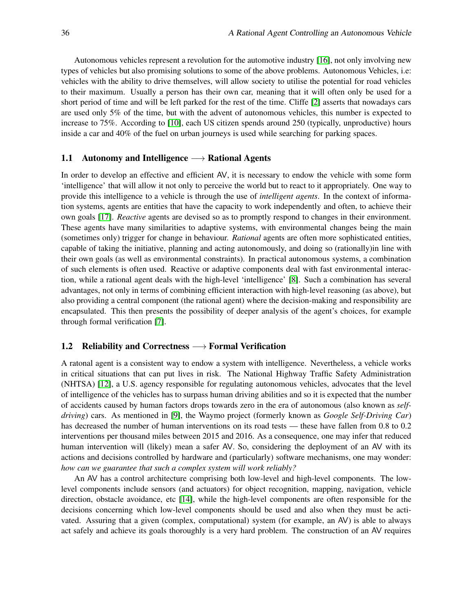Autonomous vehicles represent a revolution for the automotive industry [\[16\]](#page-7-4), not only involving new types of vehicles but also promising solutions to some of the above problems. Autonomous Vehicles, i.e: vehicles with the ability to drive themselves, will allow society to utilise the potential for road vehicles to their maximum. Usually a person has their own car, meaning that it will often only be used for a short period of time and will be left parked for the rest of the time. Cliffe [\[2\]](#page-7-5) asserts that nowadays cars are used only 5% of the time, but with the advent of autonomous vehicles, this number is expected to increase to 75%. According to [\[10\]](#page-7-6), each US citizen spends around 250 (typically, unproductive) hours inside a car and 40% of the fuel on urban journeys is used while searching for parking spaces.

#### 1.1 Autonomy and Intelligence  $\longrightarrow$  Rational Agents

In order to develop an effective and efficient AV, it is necessary to endow the vehicle with some form 'intelligence' that will allow it not only to perceive the world but to react to it appropriately. One way to provide this intelligence to a vehicle is through the use of *intelligent agents*. In the context of information systems, agents are entities that have the capacity to work independently and often, to achieve their own goals [\[17\]](#page-7-7). *Reactive* agents are devised so as to promptly respond to changes in their environment. These agents have many similarities to adaptive systems, with environmental changes being the main (sometimes only) trigger for change in behaviour. *Rational* agents are often more sophisticated entities, capable of taking the initiative, planning and acting autonomously, and doing so (rationally)in line with their own goals (as well as environmental constraints). In practical autonomous systems, a combination of such elements is often used. Reactive or adaptive components deal with fast environmental interaction, while a rational agent deals with the high-level 'intelligence' [\[8\]](#page-7-8). Such a combination has several advantages, not only in terms of combining efficient interaction with high-level reasoning (as above), but also providing a central component (the rational agent) where the decision-making and responsibility are encapsulated. This then presents the possibility of deeper analysis of the agent's choices, for example through formal verification [\[7\]](#page-7-9).

#### 1.2 Reliability and Correctness  $\longrightarrow$  Formal Verification

A ratonal agent is a consistent way to endow a system with intelligence. Nevertheless, a vehicle works in critical situations that can put lives in risk. The National Highway Traffic Safety Administration (NHTSA) [\[12\]](#page-7-10), a U.S. agency responsible for regulating autonomous vehicles, advocates that the level of intelligence of the vehicles has to surpass human driving abilities and so it is expected that the number of accidents caused by human factors drops towards zero in the era of autonomous (also known as *selfdriving*) cars. As mentioned in [\[9\]](#page-7-11), the Waymo project (formerly known as *Google Self-Driving Car*) has decreased the number of human interventions on its road tests — these have fallen from 0.8 to 0.2 interventions per thousand miles between 2015 and 2016. As a consequence, one may infer that reduced human intervention will (likely) mean a safer AV. So, considering the deployment of an AV with its actions and decisions controlled by hardware and (particularly) software mechanisms, one may wonder: *how can we guarantee that such a complex system will work reliably?*

An AV has a control architecture comprising both low-level and high-level components. The lowlevel components include sensors (and actuators) for object recognition, mapping, navigation, vehicle direction, obstacle avoidance, etc [14], while the high-level components are often responsible for the decisions concerning which low-level components should be used and also when they must be activated. Assuring that a given (complex, computational) system (for example, an AV) is able to always act safely and achieve its goals thoroughly is a very hard problem. The construction of an AV requires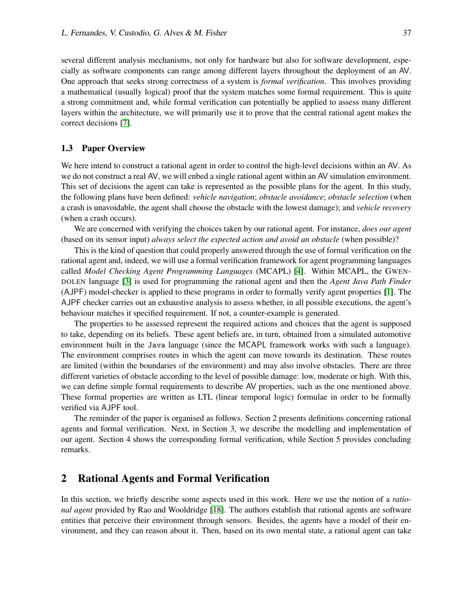several different analysis mechanisms, not only for hardware but also for software development, especially as software components can range among different layers throughout the deployment of an AV. One approach that seeks strong correctness of a system is *formal verification*. This involves providing a mathematical (usually logical) proof that the system matches some formal requirement. This is quite a strong commitment and, while formal verification can potentially be applied to assess many different layers within the architecture, we will primarily use it to prove that the central rational agent makes the correct decisions [\[7\]](#page-7-9).

#### 1.3 Paper Overview

We here intend to construct a rational agent in order to control the high-level decisions within an AV. As we do not construct a real AV, we will enbed a single rational agent within an AV simulation environment. This set of decisions the agent can take is represented as the possible plans for the agent. In this study, the following plans have been defined: *vehicle navigation*; *obstacle avoidance*; *obstacle selection* (when a crash is unavoidable, the agent shall choose the obstacle with the lowest damage); and *vehicle recovery* (when a crash occurs).

We are concerned with verifying the choices taken by our rational agent. For instance, *does our agent* (based on its sensor input) *always select the expected action and avoid an obstacle* (when possible)?

This is the kind of question that could properly answered through the use of formal verification on the rational agent and, indeed, we will use a formal verification framework for agent programming languages called *Model Checking Agent Programming Languages* (MCAPL) [\[4\]](#page-7-12). Within MCAPL, the GWEN-DOLEN language [\[3\]](#page-7-13) is used for programming the rational agent and then the *Agent Java Path Finder* (AJPF) model-checker is applied to these programs in order to formally verify agent properties [\[1\]](#page-6-0). The AJPF checker carries out an exhaustive analysis to assess whether, in all possible executions, the agent's behaviour matches it specified requirement. If not, a counter-example is generated.

The properties to be assessed represent the required actions and choices that the agent is supposed to take, depending on its beliefs. These agent beliefs are, in turn, obtained from a simulated automotive environment built in the Java language (since the MCAPL framework works with such a language). The environment comprises routes in which the agent can move towards its destination. These routes are limited (within the boundaries of the environment) and may also involve obstacles. There are three different varieties of obstacle according to the level of possible damage: low, moderate or high. With this, we can define simple formal requirements to describe AV properties, such as the one mentioned above. These formal properties are written as LTL (linear temporal logic) formulae in order to be formally verified via AJPF tool.

The reminder of the paper is organised as follows. Section 2 presents definitions concerning rational agents and formal verification. Next, in Section 3, we describe the modelling and implementation of our agent. Section 4 shows the corresponding formal verification, while Section 5 provides concluding remarks.

#### 2 Rational Agents and Formal Verification

In this section, we briefly describe some aspects used in this work. Here we use the notion of a *rational agent* provided by Rao and Wooldridge [\[18\]](#page-7-14). The authors establish that rational agents are software entities that perceive their environment through sensors. Besides, the agents have a model of their environment, and they can reason about it. Then, based on its own mental state, a rational agent can take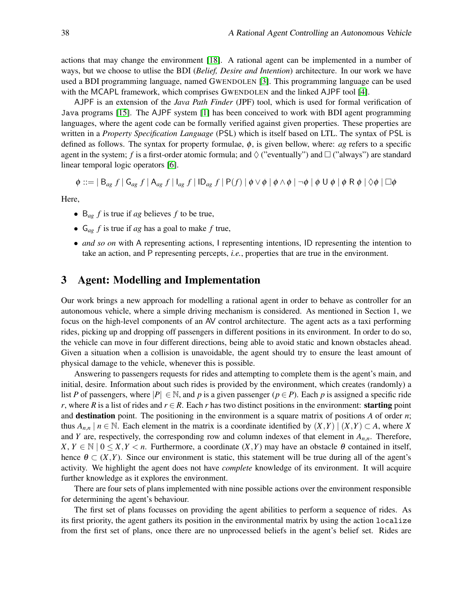actions that may change the environment [\[18\]](#page-7-14). A rational agent can be implemented in a number of ways, but we choose to utlise the BDI (*Belief, Desire and Intention*) architecture. In our work we have used a BDI programming language, named GWENDOLEN [\[3\]](#page-7-13). This programming language can be used with the MCAPL framework, which comprises GWENDOLEN and the linked AJPF tool [\[4\]](#page-7-12).

AJPF is an extension of the *Java Path Finder* (JPF) tool, which is used for formal verification of Java programs [\[15\]](#page-7-15). The AJPF system [\[1\]](#page-6-0) has been conceived to work with BDI agent programming languages, where the agent code can be formally verified against given properties. These properties are written in a *Property Specification Language* (PSL) which is itself based on LTL. The syntax of PSL is defined as follows. The syntax for property formulae, φ, is given bellow, where: *ag* refers to a specific agent in the system; f is a first-order atomic formula; and  $\Diamond$  ("eventually") and  $\Box$  ("always") are standard linear temporal logic operators [\[6\]](#page-7-16).

$$
\phi ::= | B_{ag} f | G_{ag} f | A_{ag} f | I_{ag} f | ID_{ag} f | P(f) | \phi \vee \phi | \phi \wedge \phi | \neg \phi | \phi U \phi | \phi R \phi | \Diamond \phi | \Box \phi
$$

Here,

- $B_{ag} f$  is true if *ag* believes *f* to be true,
- G*ag f* is true if *ag* has a goal to make *f* true,
- *and so on* with A representing actions, I representing intentions, ID representing the intention to take an action, and P representing percepts, *i.e.*, properties that are true in the environment.

#### 3 Agent: Modelling and Implementation

Our work brings a new approach for modelling a rational agent in order to behave as controller for an autonomous vehicle, where a simple driving mechanism is considered. As mentioned in Section 1, we focus on the high-level components of an AV control architecture. The agent acts as a taxi performing rides, picking up and dropping off passengers in different positions in its environment. In order to do so, the vehicle can move in four different directions, being able to avoid static and known obstacles ahead. Given a situation when a collision is unavoidable, the agent should try to ensure the least amount of physical damage to the vehicle, whenever this is possible.

Answering to passengers requests for rides and attempting to complete them is the agent's main, and initial, desire. Information about such rides is provided by the environment, which creates (randomly) a list *P* of passengers, where  $|P| \in \mathbb{N}$ , and *p* is a given passenger ( $p \in P$ ). Each *p* is assigned a specific ride *r*, where *R* is a list of rides and  $r \in R$ . Each *r* has two distinct positions in the environment: **starting** point and destination point. The positioning in the environment is a square matrix of positions *A* of order *n*; thus  $A_{n,n}$  |  $n \in \mathbb{N}$ . Each element in the matrix is a coordinate identified by  $(X,Y)$  |  $(X,Y) \subset A$ , where *X* and *Y* are, respectively, the corresponding row and column indexes of that element in  $A_{n,n}$ . Therefore,  $X, Y \in \mathbb{N} \mid 0 \leq X, Y \leq n$ . Furthermore, a coordinate  $(X, Y)$  may have an obstacle  $\theta$  contained in itself, hence  $\theta \subset (X,Y)$ . Since our environment is static, this statement will be true during all of the agent's activity. We highlight the agent does not have *complete* knowledge of its environment. It will acquire further knowledge as it explores the environment.

There are four sets of plans implemented with nine possible actions over the environment responsible for determining the agent's behaviour.

The first set of plans focusses on providing the agent abilities to perform a sequence of rides. As its first priority, the agent gathers its position in the environmental matrix by using the action localize from the first set of plans, once there are no unprocessed beliefs in the agent's belief set. Rides are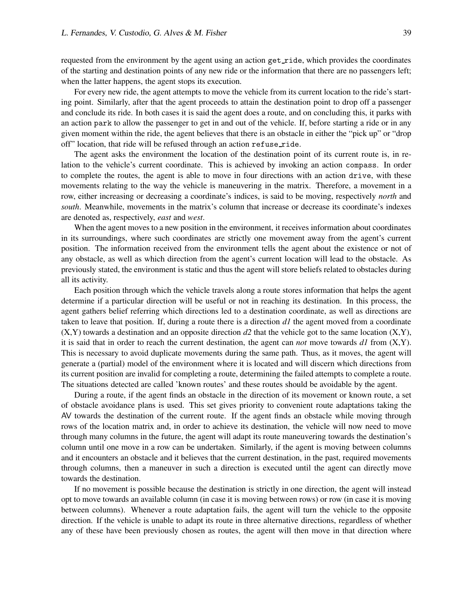requested from the environment by the agent using an action get ride, which provides the coordinates of the starting and destination points of any new ride or the information that there are no passengers left; when the latter happens, the agent stops its execution.

For every new ride, the agent attempts to move the vehicle from its current location to the ride's starting point. Similarly, after that the agent proceeds to attain the destination point to drop off a passenger and conclude its ride. In both cases it is said the agent does a route, and on concluding this, it parks with an action park to allow the passenger to get in and out of the vehicle. If, before starting a ride or in any given moment within the ride, the agent believes that there is an obstacle in either the "pick up" or "drop off" location, that ride will be refused through an action refuse ride.

The agent asks the environment the location of the destination point of its current route is, in relation to the vehicle's current coordinate. This is achieved by invoking an action compass. In order to complete the routes, the agent is able to move in four directions with an action drive, with these movements relating to the way the vehicle is maneuvering in the matrix. Therefore, a movement in a row, either increasing or decreasing a coordinate's indices, is said to be moving, respectively *north* and *south*. Meanwhile, movements in the matrix's column that increase or decrease its coordinate's indexes are denoted as, respectively, *east* and *west*.

When the agent moves to a new position in the environment, it receives information about coordinates in its surroundings, where such coordinates are strictly one movement away from the agent's current position. The information received from the environment tells the agent about the existence or not of any obstacle, as well as which direction from the agent's current location will lead to the obstacle. As previously stated, the environment is static and thus the agent will store beliefs related to obstacles during all its activity.

Each position through which the vehicle travels along a route stores information that helps the agent determine if a particular direction will be useful or not in reaching its destination. In this process, the agent gathers belief referring which directions led to a destination coordinate, as well as directions are taken to leave that position. If, during a route there is a direction *d1* the agent moved from a coordinate  $(X, Y)$  towards a destination and an opposite direction *d2* that the vehicle got to the same location  $(X, Y)$ , it is said that in order to reach the current destination, the agent can *not* move towards  $d1$  from  $(X,Y)$ . This is necessary to avoid duplicate movements during the same path. Thus, as it moves, the agent will generate a (partial) model of the environment where it is located and will discern which directions from its current position are invalid for completing a route, determining the failed attempts to complete a route. The situations detected are called 'known routes' and these routes should be avoidable by the agent.

During a route, if the agent finds an obstacle in the direction of its movement or known route, a set of obstacle avoidance plans is used. This set gives priority to convenient route adaptations taking the AV towards the destination of the current route. If the agent finds an obstacle while moving through rows of the location matrix and, in order to achieve its destination, the vehicle will now need to move through many columns in the future, the agent will adapt its route maneuvering towards the destination's column until one move in a row can be undertaken. Similarly, if the agent is moving between columns and it encounters an obstacle and it believes that the current destination, in the past, required movements through columns, then a maneuver in such a direction is executed until the agent can directly move towards the destination.

If no movement is possible because the destination is strictly in one direction, the agent will instead opt to move towards an available column (in case it is moving between rows) or row (in case it is moving between columns). Whenever a route adaptation fails, the agent will turn the vehicle to the opposite direction. If the vehicle is unable to adapt its route in three alternative directions, regardless of whether any of these have been previously chosen as routes, the agent will then move in that direction where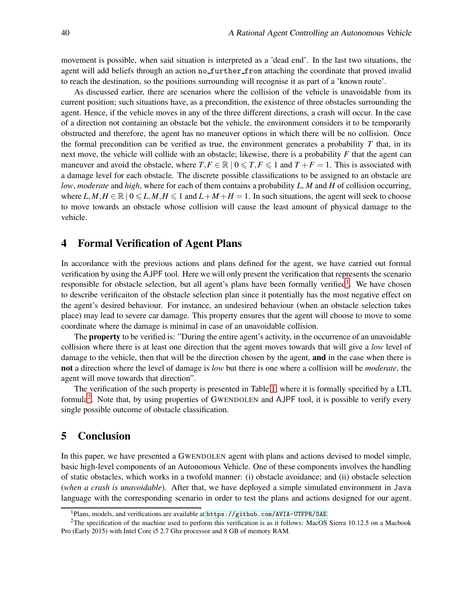movement is possible, when said situation is interpreted as a 'dead end'. In the last two situations, the agent will add beliefs through an action no further from attaching the coordinate that proved invalid to reach the destination, so the positions surrounding will recognise it as part of a 'known route'.

As discussed earlier, there are scenarios where the collision of the vehicle is unavoidable from its current position; such situations have, as a precondition, the existence of three obstacles surrounding the agent. Hence, if the vehicle moves in any of the three different directions, a crash will occur. In the case of a direction not containing an obstacle but the vehicle, the environment considers it to be temporarily obstructed and therefore, the agent has no maneuver options in which there will be no collision. Once the formal precondition can be verified as true, the environment generates a probability *T* that, in its next move, the vehicle will collide with an obstacle; likewise, there is a probability *F* that the agent can maneuver and avoid the obstacle, where  $T, F \in \mathbb{R} \mid 0 \leq T, F \leq 1$  and  $T + F = 1$ . This is associated with a damage level for each obstacle. The discrete possible classifications to be assigned to an obstacle are *low*, *moderate* and *high*, where for each of them contains a probability *L*, *M* and *H* of collision occurring, where  $L, M, H \in \mathbb{R} \mid 0 \le L, M, H \le 1$  and  $L + M + H = 1$ . In such situations, the agent will seek to choose to move towards an obstacle whose collision will cause the least amount of physical damage to the vehicle.

## 4 Formal Verification of Agent Plans

In accordance with the previous actions and plans defined for the agent, we have carried out formal verification by using the AJPF tool. Here we will only present the verification that represents the scenario responsible for obstacle selection, but all agent's plans have been formally verified<sup>[1](#page-5-0)</sup>. We have chosen to describe verificaiton of the obstacle selection plan since it potentially has the most negative effect on the agent's desired behaviour. For instance, an undesired behaviour (when an obstacle selection takes place) may lead to severe car damage. This property ensures that the agent will choose to move to some coordinate where the damage is minimal in case of an unavoidable collision.

The **property** to be verified is: "During the entire agent's activity, in the occurrence of an unavoidable collision where there is at least one direction that the agent moves towards that will give a *low* level of damage to the vehicle, then that will be the direction chosen by the agent, **and** in the case when there is not a direction where the level of damage is *low* but there is one where a collision will be *moderate*, the agent will move towards that direction".

The verification of the such property is presented in Table [1,](#page-6-1) where it is formally specified by a LTL formula<sup>[2](#page-5-1)</sup>. Note that, by using properties of GWENDOLEN and AJPF tool, it is possible to verify every single possible outcome of obstacle classification.

## 5 Conclusion

In this paper, we have presented a GWENDOLEN agent with plans and actions devised to model simple, basic high-level components of an Autonomous Vehicle. One of these components involves the handling of static obstacles, which works in a twofold manner: (i) obstacle avoidance; and (ii) obstacle selection (*when a crash is unavoidable*). After that, we have deployed a simple simulated environment in Java language with the corresponding scenario in order to test the plans and actions designed for our agent.

<span id="page-5-0"></span><sup>1</sup>Plans, models, and verifications are available at <https://github.com/AVIA-UTFPR/SAE>

<span id="page-5-1"></span><sup>&</sup>lt;sup>2</sup>The specification of the machine used to perform this verification is as it follows: MacOS Sierra 10.12.5 on a Macbook Pro (Early 2015) with Intel Core i5 2.7 Ghz processor and 8 GB of memory RAM.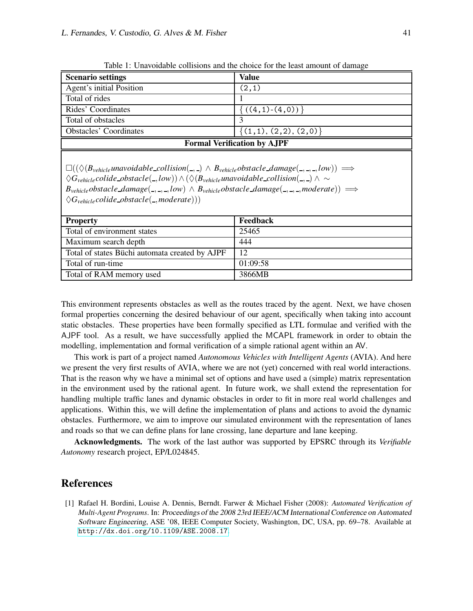| <b>Scenario settings</b>                                                                                                                                                                                                                                                                                                 | Value                      |
|--------------------------------------------------------------------------------------------------------------------------------------------------------------------------------------------------------------------------------------------------------------------------------------------------------------------------|----------------------------|
| Agent's initial Position                                                                                                                                                                                                                                                                                                 | (2,1)                      |
| Total of rides                                                                                                                                                                                                                                                                                                           |                            |
| Rides' Coordinates                                                                                                                                                                                                                                                                                                       | $\{(4,1)-(4,0)\}\$         |
| Total of obstacles                                                                                                                                                                                                                                                                                                       |                            |
| <b>Obstacles' Coordinates</b>                                                                                                                                                                                                                                                                                            | $\{(1,1), (2,2), (2,0)\}\$ |
| <b>Formal Verification by AJPF</b>                                                                                                                                                                                                                                                                                       |                            |
| $\square((\Diamond(B_{\text{vehicle}}\text{unavoidable}_\text{{\text{-}}collision}(\_,\_) \land B_{\text{vehicle}}\text{obstacle}_\text{{\text{-}}damage}(\_,\_,\_,low)) \Longrightarrow$<br>$\Delta C = \text{eclide obtained} \left( \text{I}\text{ecl}\right) \wedge (\Delta D = \text{unweighted} \text{ecl}\right)$ |                            |

<span id="page-6-1"></span>Table 1: Unavoidable collisions and the choice for the least amount of damage

♦*Gvehiclecolide obstacle*( ,*low*))∧(♦(*Bvehicleunavoidable collision*( , ) ∧ ∼  $B_{\text{vehicle}}$ *obstacle\_damage*(\_,\_,\_,low)  $\land B_{\text{vehicle}}$ *obstacle\_damage*(\_,\_,\_,*moderate*))  $\implies$  $\Diamond G_{\text{vehicle}} \text{colide\_obstacle}(\_,\text{moderate}))$ 

| <b>Property</b>                                | Feedback |
|------------------------------------------------|----------|
| Total of environment states                    | 25465    |
| Maximum search depth                           | 444      |
| Total of states Büchi automata created by AJPF | 12       |
| Total of run-time                              | 01:09:58 |
| Total of RAM memory used                       | 3866MB   |

This environment represents obstacles as well as the routes traced by the agent. Next, we have chosen formal properties concerning the desired behaviour of our agent, specifically when taking into account static obstacles. These properties have been formally specified as LTL formulae and verified with the AJPF tool. As a result, we have successfully applied the MCAPL framework in order to obtain the modelling, implementation and formal verification of a simple rational agent within an AV.

This work is part of a project named *Autonomous Vehicles with Intelligent Agents* (AVIA). And here we present the very first results of AVIA, where we are not (yet) concerned with real world interactions. That is the reason why we have a minimal set of options and have used a (simple) matrix representation in the environment used by the rational agent. In future work, we shall extend the representation for handling multiple traffic lanes and dynamic obstacles in order to fit in more real world challenges and applications. Within this, we will define the implementation of plans and actions to avoid the dynamic obstacles. Furthermore, we aim to improve our simulated environment with the representation of lanes and roads so that we can define plans for lane crossing, lane departure and lane keeping.

Acknowledgments. The work of the last author was supported by EPSRC through its *Verifiable Autonomy* research project, EP/L024845.

## References

<span id="page-6-0"></span>[1] Rafael H. Bordini, Louise A. Dennis, Berndt. Farwer & Michael Fisher (2008): *Automated Verification of Multi-Agent Programs*. In: Proceedings of the <sup>2008</sup> 23rd IEEE/ACM International Conference on Automated Software Engineering, ASE '08, IEEE Computer Society, Washington, DC, USA, pp. 69–78. Available at <http://dx.doi.org/10.1109/ASE.2008.17>.